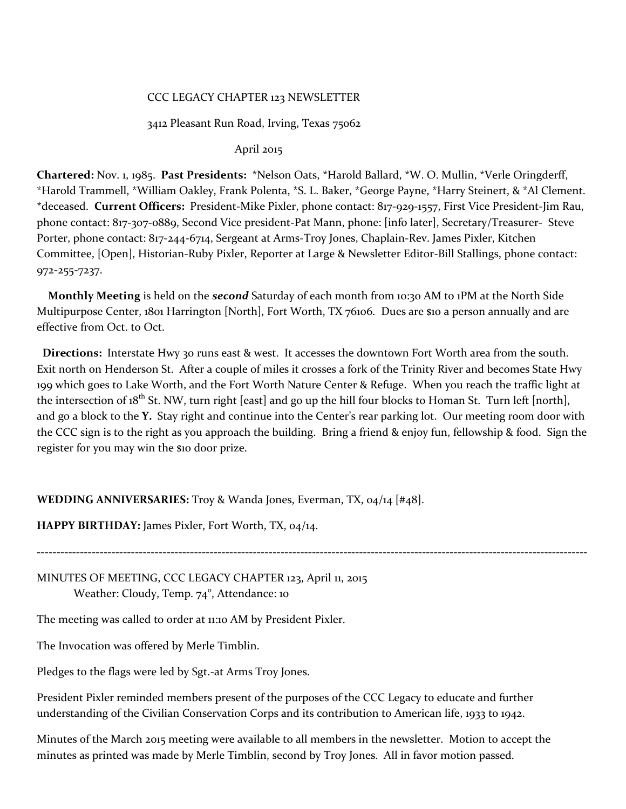### CCC LEGACY CHAPTER 123 NEWSLETTER

#### 3412 Pleasant Run Road, Irving, Texas 75062

#### April 2015

**Chartered:** Nov. 1, 1985. **Past Presidents:** \*Nelson Oats, \*Harold Ballard, \*W. O. Mullin, \*Verle Oringderff, \*Harold Trammell, \*William Oakley, Frank Polenta, \*S. L. Baker, \*George Payne, \*Harry Steinert, & \*Al Clement. \*deceased. **Current Officers:** President-Mike Pixler, phone contact: 817-929-1557, First Vice President-Jim Rau, phone contact: 817-3o7-0889, Second Vice president-Pat Mann, phone: [info later], Secretary/Treasurer- Steve Porter, phone contact: 817-244-6714, Sergeant at Arms-Troy Jones, Chaplain-Rev. James Pixler, Kitchen Committee, [Open], Historian-Ruby Pixler, Reporter at Large & Newsletter Editor-Bill Stallings, phone contact: 972-255-7237.

 **Monthly Meeting** is held on the *second* Saturday of each month from 10:30 AM to 1PM at the North Side Multipurpose Center, 1801 Harrington [North], Fort Worth, TX 76106. Dues are \$10 a person annually and are effective from Oct. to Oct.

 **Directions:** Interstate Hwy 30 runs east & west. It accesses the downtown Fort Worth area from the south. Exit north on Henderson St. After a couple of miles it crosses a fork of the Trinity River and becomes State Hwy 199 which goes to Lake Worth, and the Fort Worth Nature Center & Refuge. When you reach the traffic light at the intersection of  $18^{th}$  St. NW, turn right [east] and go up the hill four blocks to Homan St. Turn left [north], and go a block to the **Y.** Stay right and continue into the Center's rear parking lot. Our meeting room door with the CCC sign is to the right as you approach the building. Bring a friend & enjoy fun, fellowship & food. Sign the register for you may win the \$10 door prize.

**--------------------------------------------------------------------------------------------------------------------------------------------**

### **WEDDING ANNIVERSARIES:** Troy & Wanda Jones, Everman, TX, 04/14 [#48].

**HAPPY BIRTHDAY:** James Pixler, Fort Worth, TX, 04/14.

MINUTES OF MEETING, CCC LEGACY CHAPTER 123, April 11, 2015 Weather: Cloudy, Temp. 74<sup>°</sup>, Attendance: 10

The meeting was called to order at 11:10 AM by President Pixler.

The Invocation was offered by Merle Timblin.

Pledges to the flags were led by Sgt.-at Arms Troy Jones.

President Pixler reminded members present of the purposes of the CCC Legacy to educate and further understanding of the Civilian Conservation Corps and its contribution to American life, 1933 to 1942.

Minutes of the March 2015 meeting were available to all members in the newsletter. Motion to accept the minutes as printed was made by Merle Timblin, second by Troy Jones. All in favor motion passed.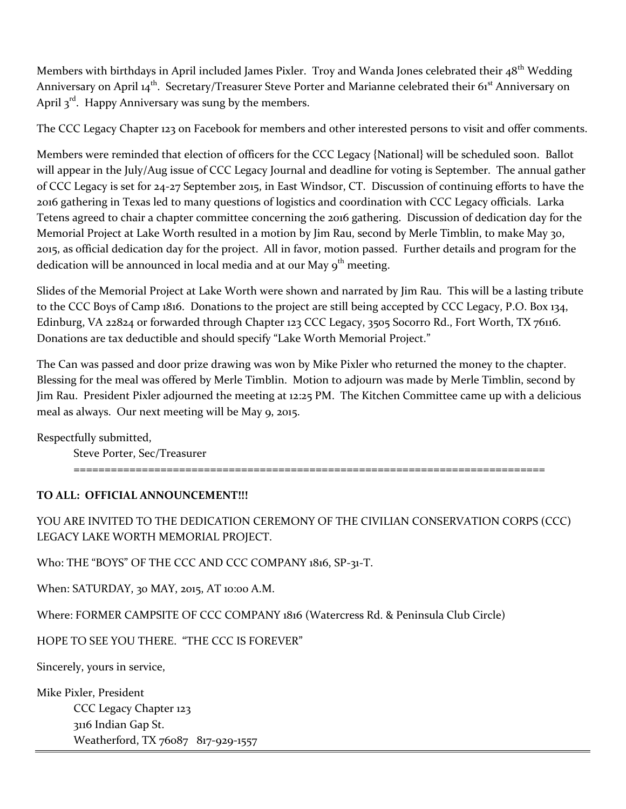Members with birthdays in April included James Pixler. Troy and Wanda Jones celebrated their 48<sup>th</sup> Wedding Anniversary on April 14<sup>th</sup>. Secretary/Treasurer Steve Porter and Marianne celebrated their 61<sup>st</sup> Anniversary on April  $3^{rd}$ . Happy Anniversary was sung by the members.

The CCC Legacy Chapter 123 on Facebook for members and other interested persons to visit and offer comments.

Members were reminded that election of officers for the CCC Legacy {National} will be scheduled soon. Ballot will appear in the July/Aug issue of CCC Legacy Journal and deadline for voting is September. The annual gather of CCC Legacy is set for 24-27 September 2015, in East Windsor, CT. Discussion of continuing efforts to have the 2016 gathering in Texas led to many questions of logistics and coordination with CCC Legacy officials. Larka Tetens agreed to chair a chapter committee concerning the 2016 gathering. Discussion of dedication day for the Memorial Project at Lake Worth resulted in a motion by Jim Rau, second by Merle Timblin, to make May 30, 2015, as official dedication day for the project. All in favor, motion passed. Further details and program for the dedication will be announced in local media and at our May  $9<sup>th</sup>$  meeting.

Slides of the Memorial Project at Lake Worth were shown and narrated by Jim Rau. This will be a lasting tribute to the CCC Boys of Camp 1816. Donations to the project are still being accepted by CCC Legacy, P.O. Box 134, Edinburg, VA 22824 or forwarded through Chapter 123 CCC Legacy, 3505 Socorro Rd., Fort Worth, TX 76116. Donations are tax deductible and should specify "Lake Worth Memorial Project."

The Can was passed and door prize drawing was won by Mike Pixler who returned the money to the chapter. Blessing for the meal was offered by Merle Timblin. Motion to adjourn was made by Merle Timblin, second by Jim Rau. President Pixler adjourned the meeting at 12:25 PM. The Kitchen Committee came up with a delicious meal as always. Our next meeting will be May 9, 2015.

Respectfully submitted,

Steve Porter, Sec/Treasurer

============================================================================

### **TO ALL: OFFICIAL ANNOUNCEMENT!!!**

YOU ARE INVITED TO THE DEDICATION CEREMONY OF THE CIVILIAN CONSERVATION CORPS (CCC) LEGACY LAKE WORTH MEMORIAL PROJECT.

Who: THE "BOYS" OF THE CCC AND CCC COMPANY 1816, SP-31-T.

When: SATURDAY, 30 MAY, 2015, AT 10:00 A.M.

Where: FORMER CAMPSITE OF CCC COMPANY 1816 (Watercress Rd. & Peninsula Club Circle)

HOPE TO SEE YOU THERE. "THE CCC IS FOREVER"

Sincerely, yours in service,

Mike Pixler, President CCC Legacy Chapter 123 3116 Indian Gap St. Weatherford, TX 76087 817-929-1557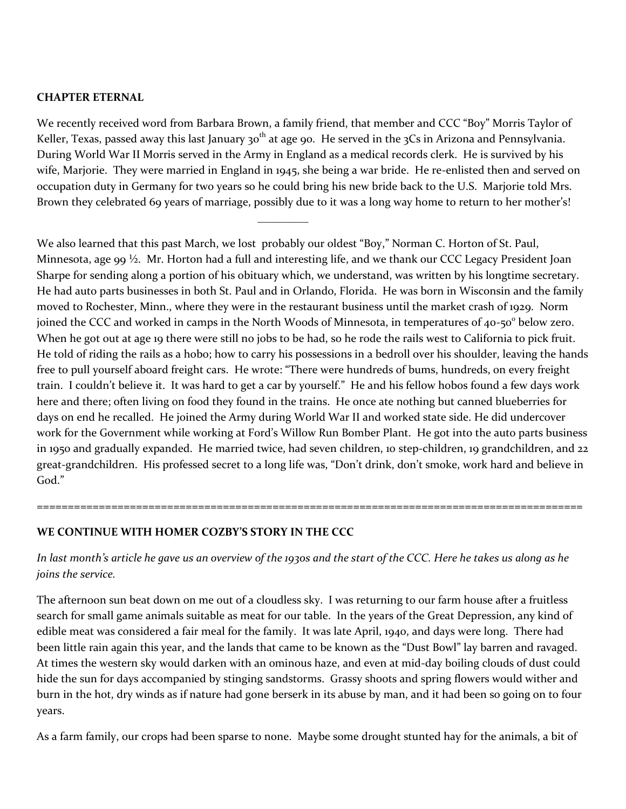### **CHAPTER ETERNAL**

We recently received word from Barbara Brown, a family friend, that member and CCC "Boy" Morris Taylor of Keller, Texas, passed away this last January 30<sup>th</sup> at age 90. He served in the 3Cs in Arizona and Pennsylvania. During World War II Morris served in the Army in England as a medical records clerk. He is survived by his wife, Marjorie. They were married in England in 1945, she being a war bride. He re-enlisted then and served on occupation duty in Germany for two years so he could bring his new bride back to the U.S. Marjorie told Mrs. Brown they celebrated 69 years of marriage, possibly due to it was a long way home to return to her mother's!

 $\overline{\phantom{a}}$ 

We also learned that this past March, we lost probably our oldest "Boy," Norman C. Horton of St. Paul, Minnesota, age 99 <sup>1</sup>/<sub>2</sub>. Mr. Horton had a full and interesting life, and we thank our CCC Legacy President Joan Sharpe for sending along a portion of his obituary which, we understand, was written by his longtime secretary. He had auto parts businesses in both St. Paul and in Orlando, Florida. He was born in Wisconsin and the family moved to Rochester, Minn., where they were in the restaurant business until the market crash of 1929. Norm joined the CCC and worked in camps in the North Woods of Minnesota, in temperatures of 40-50° below zero. When he got out at age 19 there were still no jobs to be had, so he rode the rails west to California to pick fruit. He told of riding the rails as a hobo; how to carry his possessions in a bedroll over his shoulder, leaving the hands free to pull yourself aboard freight cars. He wrote: "There were hundreds of bums, hundreds, on every freight train. I couldn't believe it. It was hard to get a car by yourself." He and his fellow hobos found a few days work here and there; often living on food they found in the trains. He once ate nothing but canned blueberries for days on end he recalled. He joined the Army during World War II and worked state side. He did undercover work for the Government while working at Ford's Willow Run Bomber Plant. He got into the auto parts business in 1950 and gradually expanded. He married twice, had seven children, 10 step-children, 19 grandchildren, and 22 great-grandchildren. His professed secret to a long life was, "Don't drink, don't smoke, work hard and believe in God."

### **WE CONTINUE WITH HOMER COZBY'S STORY IN THE CCC**

## *In last month's article he gave us an overview of the 1930s and the start of the CCC. Here he takes us along as he joins the service.*

========================================================================================

The afternoon sun beat down on me out of a cloudless sky. I was returning to our farm house after a fruitless search for small game animals suitable as meat for our table. In the years of the Great Depression, any kind of edible meat was considered a fair meal for the family. It was late April, 1940, and days were long. There had been little rain again this year, and the lands that came to be known as the "Dust Bowl" lay barren and ravaged. At times the western sky would darken with an ominous haze, and even at mid-day boiling clouds of dust could hide the sun for days accompanied by stinging sandstorms. Grassy shoots and spring flowers would wither and burn in the hot, dry winds as if nature had gone berserk in its abuse by man, and it had been so going on to four years.

As a farm family, our crops had been sparse to none. Maybe some drought stunted hay for the animals, a bit of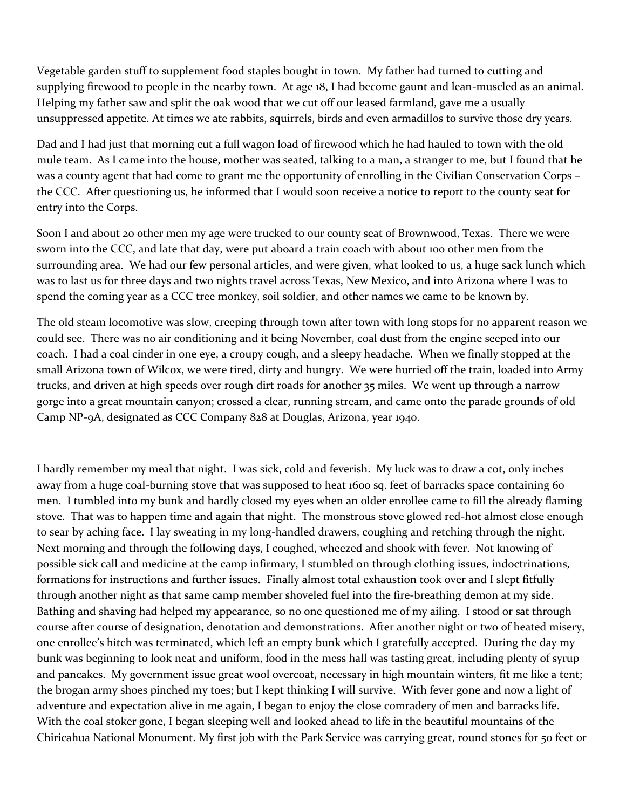Vegetable garden stuff to supplement food staples bought in town. My father had turned to cutting and supplying firewood to people in the nearby town. At age 18, I had become gaunt and lean-muscled as an animal. Helping my father saw and split the oak wood that we cut off our leased farmland, gave me a usually unsuppressed appetite. At times we ate rabbits, squirrels, birds and even armadillos to survive those dry years.

Dad and I had just that morning cut a full wagon load of firewood which he had hauled to town with the old mule team. As I came into the house, mother was seated, talking to a man, a stranger to me, but I found that he was a county agent that had come to grant me the opportunity of enrolling in the Civilian Conservation Corps – the CCC. After questioning us, he informed that I would soon receive a notice to report to the county seat for entry into the Corps.

Soon I and about 20 other men my age were trucked to our county seat of Brownwood, Texas. There we were sworn into the CCC, and late that day, were put aboard a train coach with about 100 other men from the surrounding area. We had our few personal articles, and were given, what looked to us, a huge sack lunch which was to last us for three days and two nights travel across Texas, New Mexico, and into Arizona where I was to spend the coming year as a CCC tree monkey, soil soldier, and other names we came to be known by.

The old steam locomotive was slow, creeping through town after town with long stops for no apparent reason we could see. There was no air conditioning and it being November, coal dust from the engine seeped into our coach. I had a coal cinder in one eye, a croupy cough, and a sleepy headache. When we finally stopped at the small Arizona town of Wilcox, we were tired, dirty and hungry. We were hurried off the train, loaded into Army trucks, and driven at high speeds over rough dirt roads for another 35 miles. We went up through a narrow gorge into a great mountain canyon; crossed a clear, running stream, and came onto the parade grounds of old Camp NP-9A, designated as CCC Company 828 at Douglas, Arizona, year 1940.

I hardly remember my meal that night. I was sick, cold and feverish. My luck was to draw a cot, only inches away from a huge coal-burning stove that was supposed to heat 1600 sq. feet of barracks space containing 60 men. I tumbled into my bunk and hardly closed my eyes when an older enrollee came to fill the already flaming stove. That was to happen time and again that night. The monstrous stove glowed red-hot almost close enough to sear by aching face. I lay sweating in my long-handled drawers, coughing and retching through the night. Next morning and through the following days, I coughed, wheezed and shook with fever. Not knowing of possible sick call and medicine at the camp infirmary, I stumbled on through clothing issues, indoctrinations, formations for instructions and further issues. Finally almost total exhaustion took over and I slept fitfully through another night as that same camp member shoveled fuel into the fire-breathing demon at my side. Bathing and shaving had helped my appearance, so no one questioned me of my ailing. I stood or sat through course after course of designation, denotation and demonstrations. After another night or two of heated misery, one enrollee's hitch was terminated, which left an empty bunk which I gratefully accepted. During the day my bunk was beginning to look neat and uniform, food in the mess hall was tasting great, including plenty of syrup and pancakes. My government issue great wool overcoat, necessary in high mountain winters, fit me like a tent; the brogan army shoes pinched my toes; but I kept thinking I will survive. With fever gone and now a light of adventure and expectation alive in me again, I began to enjoy the close comradery of men and barracks life. With the coal stoker gone, I began sleeping well and looked ahead to life in the beautiful mountains of the Chiricahua National Monument. My first job with the Park Service was carrying great, round stones for 50 feet or